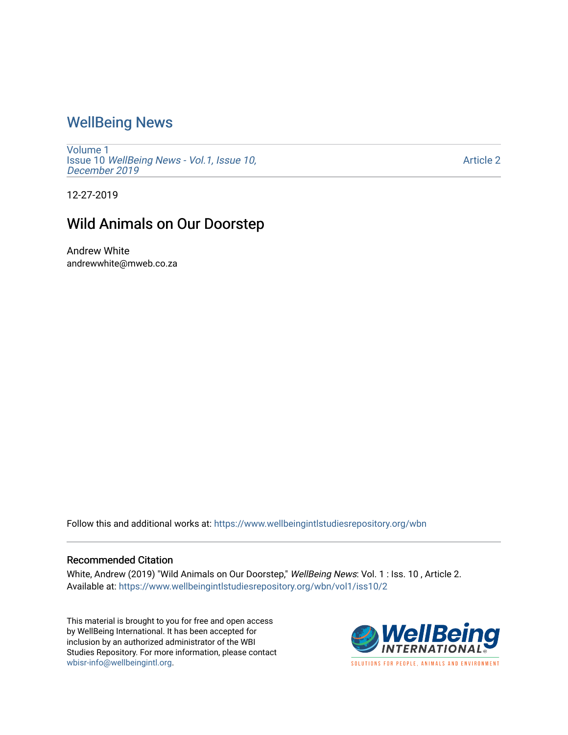## [WellBeing News](https://www.wellbeingintlstudiesrepository.org/wbn)

[Volume 1](https://www.wellbeingintlstudiesrepository.org/wbn/vol1) Issue 10 [WellBeing News - Vol.1, Issue 10,](https://www.wellbeingintlstudiesrepository.org/wbn/vol1/iss10) [December 2019](https://www.wellbeingintlstudiesrepository.org/wbn/vol1/iss10)

[Article 2](https://www.wellbeingintlstudiesrepository.org/wbn/vol1/iss10/2) 

12-27-2019

## Wild Animals on Our Doorstep

Andrew White andrewwhite@mweb.co.za

Follow this and additional works at: [https://www.wellbeingintlstudiesrepository.org/wbn](https://www.wellbeingintlstudiesrepository.org/wbn?utm_source=www.wellbeingintlstudiesrepository.org%2Fwbn%2Fvol1%2Fiss10%2F2&utm_medium=PDF&utm_campaign=PDFCoverPages)

## Recommended Citation

White, Andrew (2019) "Wild Animals on Our Doorstep," WellBeing News: Vol. 1 : Iss. 10, Article 2. Available at: [https://www.wellbeingintlstudiesrepository.org/wbn/vol1/iss10/2](https://www.wellbeingintlstudiesrepository.org/wbn/vol1/iss10/2?utm_source=www.wellbeingintlstudiesrepository.org%2Fwbn%2Fvol1%2Fiss10%2F2&utm_medium=PDF&utm_campaign=PDFCoverPages) 

This material is brought to you for free and open access by WellBeing International. It has been accepted for inclusion by an authorized administrator of the WBI Studies Repository. For more information, please contact [wbisr-info@wellbeingintl.org](mailto:wbisr-info@wellbeingintl.org).

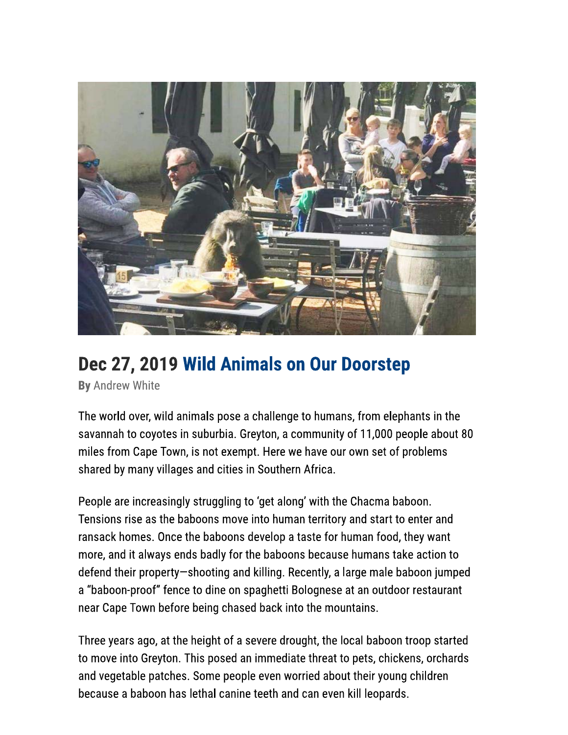

## Dec 27, 2019 Wild Animals on Our Doorstep

By Andrew White

The world over, wild animals pose a challenge to humans, from elephants in the savannah to coyotes in suburbia. Greyton, a community of 11,000 people about 80 miles from Cape Town, is not exempt. Here we have our own set of problems shared by many villages and cities in Southern Africa.

People are increasingly struggling to 'get along' with the Chacma baboon. Tensions rise as the baboons move into human territory and start to enter and ransack homes. Once the baboons develop a taste for human food, they want more, and it always ends badly for the baboons because humans take action to defend their property-shooting and killing. Recently, a large male baboon jumped a "baboon-proof" fence to dine on spaghetti Bolognese at an outdoor restaurant near Cape Town before being chased back into the mountains.

Three years ago, at the height of a severe drought, the local baboon troop started to move into Greyton. This posed an immediate threat to pets, chickens, orchards and vegetable patches. Some people even worried about their young children because a baboon has lethal canine teeth and can even kill leopards.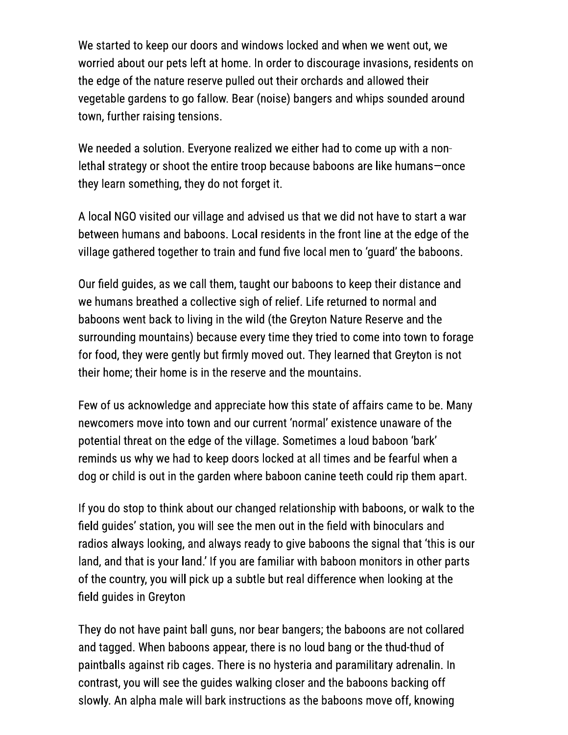We started to keep our doors and windows locked and when we went out, we worried about our pets left at home. In order to discourage invasions, residents on the edge of the nature reserve pulled out their orchards and allowed their vegetable gardens to go fallow. Bear (noise) bangers and whips sounded around town, further raising tensions.

We needed a solution. Everyone realized we either had to come up with a nonlethal strategy or shoot the entire troop because baboons are like humans-once they learn something, they do not forget it.

A local NGO visited our village and advised us that we did not have to start a war between humans and baboons. Local residents in the front line at the edge of the village gathered together to train and fund five local men to 'guard' the baboons.

Our field guides, as we call them, taught our baboons to keep their distance and we humans breathed a collective sigh of relief. Life returned to normal and baboons went back to living in the wild (the Greyton Nature Reserve and the surrounding mountains) because every time they tried to come into town to forage for food, they were gently but firmly moved out. They learned that Greyton is not their home; their home is in the reserve and the mountains.

Few of us acknowledge and appreciate how this state of affairs came to be. Many newcomers move into town and our current 'normal' existence unaware of the potential threat on the edge of the village. Sometimes a loud baboon 'bark' reminds us why we had to keep doors locked at all times and be fearful when a dog or child is out in the garden where baboon canine teeth could rip them apart.

If you do stop to think about our changed relationship with baboons, or walk to the field quides' station, you will see the men out in the field with binoculars and radios always looking, and always ready to give baboons the signal that 'this is our land, and that is your land.' If you are familiar with baboon monitors in other parts of the country, you will pick up a subtle but real difference when looking at the field guides in Greyton

They do not have paint ball guns, nor bear bangers; the baboons are not collared and tagged. When baboons appear, there is no loud bang or the thud-thud of paintballs against rib cages. There is no hysteria and paramilitary adrenalin. In contrast, you will see the guides walking closer and the baboons backing off slowly. An alpha male will bark instructions as the baboons move off, knowing